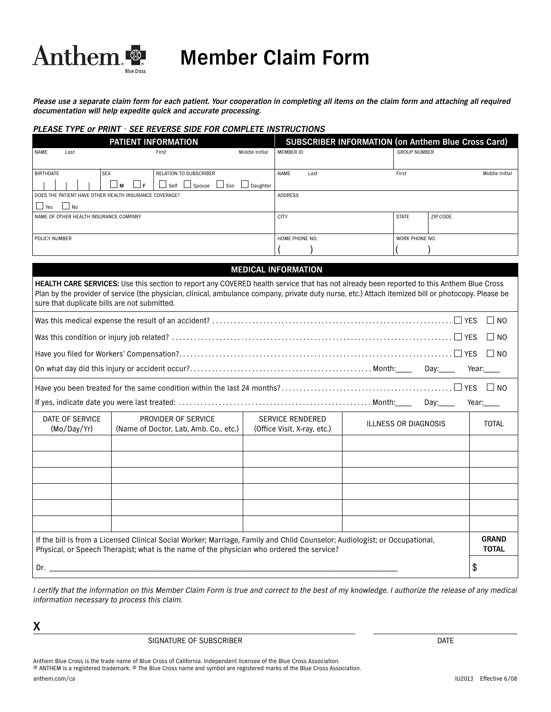

# **Member Claim Form**

*Please use a separate claim form for each patient. Your cooperation in completing all items on the claim form and attaching all required documentation will help expedite quick and accurate processing.*

### *PLEASE TYPE or PRINT • SEE REVERSE SIDE FOR COMPLETE INSTRUCTIONS*

| <b>PATIENT INFORMATION</b>                               |      |  |       |     |                                  | <b>SUBSCRIBER INFORMATION (on Anthem Blue Cross Card)</b> |                  |              |          |                     |                |
|----------------------------------------------------------|------|--|-------|-----|----------------------------------|-----------------------------------------------------------|------------------|--------------|----------|---------------------|----------------|
| <b>NAME</b>                                              | Last |  |       |     | First                            | Middle Initial                                            | <b>MEMBER ID</b> |              |          | <b>GROUP NUMBER</b> |                |
|                                                          |      |  |       |     |                                  |                                                           |                  |              |          |                     |                |
| <b>BIRTHDATE</b>                                         |      |  | l SEX |     | <b>RELATION TO SUBSCRIBER</b>    |                                                           | <b>NAME</b>      | Last         |          | First               | Middle Initial |
|                                                          |      |  | Jм    | ட்ட | $\sqcup$ Self                    | $\Box$ Spouse $\Box$ Son $\Box$ Daughter                  |                  |              |          |                     |                |
| I DOES THE PATIENT HAVE OTHER HEALTH INSURANCE COVERAGE? |      |  |       |     | <b>ADDRESS</b>                   |                                                           |                  |              |          |                     |                |
| $\Box$ Yes<br>l No                                       |      |  |       |     |                                  |                                                           |                  |              |          |                     |                |
| I NAME OF OTHER HEALTH INSURANCE COMPANY                 |      |  |       |     | <b>CITY</b>                      |                                                           |                  | <b>STATE</b> | ZIP CODE |                     |                |
|                                                          |      |  |       |     |                                  |                                                           |                  |              |          |                     |                |
| <b>POLICY NUMBER</b>                                     |      |  |       |     | HOME PHONE NO.<br>WORK PHONE NO. |                                                           |                  |              |          |                     |                |
|                                                          |      |  |       |     |                                  |                                                           |                  |              |          |                     |                |

## **MEDICAL INFORMATION**

**HEALTH CARE SERVICES:** Use this section to report any COVERED health service that has not already been reported to this Anthem Blue Cross Plan by the provider of service (the physician, clinical, ambulance company, private duty nurse, etc.) Attach itemized bill or photocopy. Please be sure that duplicate bills are not submitted.

| DATE OF SERVICE<br>(Mo/Day/Yr)                                                                                                                                                                                          | <b>SERVICE RENDERED</b><br>PROVIDER OF SERVICE<br>(Name of Doctor, Lab, Amb. Co., etc.)<br>(Office Visit, X-ray, etc.) |  | <b>ILLNESS OR DIAGNOSIS</b> | <b>TOTAL</b> |  |  |  |
|-------------------------------------------------------------------------------------------------------------------------------------------------------------------------------------------------------------------------|------------------------------------------------------------------------------------------------------------------------|--|-----------------------------|--------------|--|--|--|
|                                                                                                                                                                                                                         |                                                                                                                        |  |                             |              |  |  |  |
|                                                                                                                                                                                                                         |                                                                                                                        |  |                             |              |  |  |  |
|                                                                                                                                                                                                                         |                                                                                                                        |  |                             |              |  |  |  |
|                                                                                                                                                                                                                         |                                                                                                                        |  |                             |              |  |  |  |
|                                                                                                                                                                                                                         |                                                                                                                        |  |                             |              |  |  |  |
|                                                                                                                                                                                                                         |                                                                                                                        |  |                             |              |  |  |  |
| If the bill is from a Licensed Clinical Social Worker; Marriage, Family and Child Counselor; Audiologist; or Occupational,<br>Physical, or Speech Therapist; what is the name of the physician who ordered the service? |                                                                                                                        |  |                             |              |  |  |  |
| Dr.                                                                                                                                                                                                                     |                                                                                                                        |  |                             |              |  |  |  |

I certify that the information on this Member Claim Form is true and correct to the best of my knowledge. I authorize the release of any medical information necessary to process this claim.

**X**

SIGNATURE OF SUBSCRIBER DATE AND A SERVICE OF SUBSCRIBER AND A SERVICE OF SUBSCRIBER AND A SERVICE OF SUBSCRIBER

Anthem Blue Cross is the trade name of Blue Cross of California. Independent licensee of the Blue Cross Association. ® ANTHEM is a registered trademark. ® The Blue Cross name and symbol are registered marks of the Blue Cross Association.